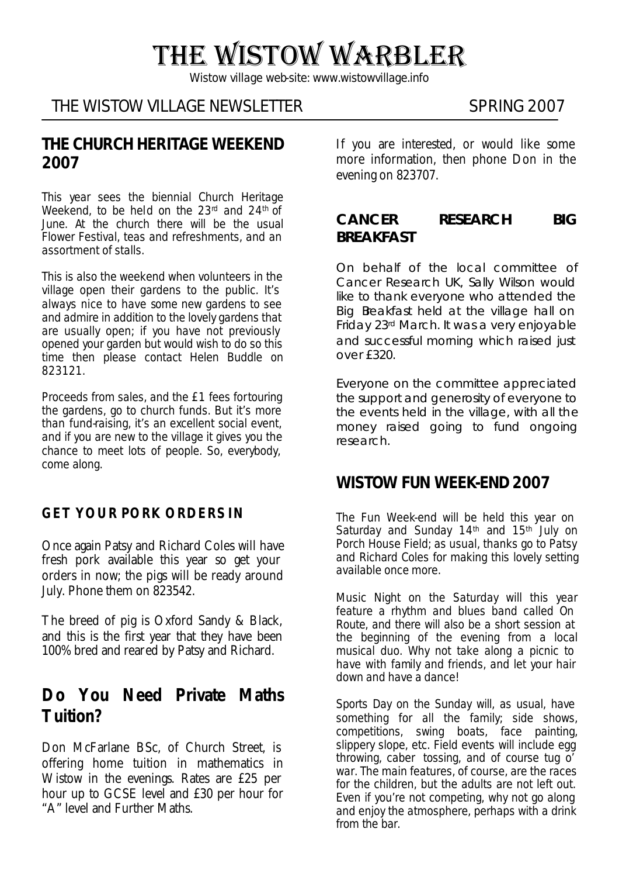# THE WISTOW WARBLER

*Wistow village web-site: www.wistowvillage.info*

# THE WISTOW VILLAGE NEWSLETTER SPRING 2007

### **THE CHURCH HERITAGE WEEKEND 2007**

This year sees the biennial Church Heritage Weekend, to be held on the 23<sup>rd</sup> and 24<sup>th</sup> of June. At the church there will be the usual Flower Festival, teas and refreshments, and an assortment of stalls.

This is also the weekend when volunteers in the village open their gardens to the public. It's always nice to have some new gardens to see and admire in addition to the lovely gardens that are usually open; if you have not previously opened your garden but would wish to do so this time then please contact Helen Buddle on 823121.

Proceeds from sales, and the £1 fees for touring the gardens, go to church funds. But it's more than fund-raising, it's an excellent social event, and if you are new to the village it gives you the chance to meet lots of people. So, everybody, come along.

### **GET YOUR PORK ORDERS IN**

Once again Patsy and Richard Coles will have fresh pork available this year so get your orders in now; the pigs will be ready around July. Phone them on 823542.

The breed of pig is Oxford Sandy & Black, and this is the first year that they have been 100% bred and reared by Patsy and Richard.

# **Do You Need Private Maths Tuition?**

Don McFarlane BSc, of Church Street, is offering home tuition in mathematics in Wistow in the evenings. Rates are £25 per hour up to GCSE level and £30 per hour for "A" level and Further Maths.

If you are interested, or would like some more information, then phone Don in the evening on 823707.

#### **CANCER RESEARCH BIG BREAKFAST**

On behalf of the local committee of Cancer Research UK, Sally Wilson would like to thank everyone who attended the Big Beakfast held at the village hall on Friday 23rd March. It was a very enjoyable and successful morning which raised just over £320.

Everyone on the committee appreciated the support and generosity of everyone to the events held in the village, with all the money raised going to fund ongoing research.

# **WISTOW FUN WEEK-END 2007**

The Fun Week-end will be held this year on Saturday and Sunday 14<sup>th</sup> and 15<sup>th</sup> July on Porch House Field; as usual, thanks go to Patsy and Richard Coles for making this lovely setting available once more.

Music Night on the Saturday will this year feature a rhythm and blues band called On Route, and there will also be a short session at the beginning of the evening from a local musical duo. Why not take along a picnic to have with family and friends, and let your hair down and have a dance!

Sports Day on the Sunday will, as usual, have something for all the family; side shows, competitions, swing boats, face painting, slippery slope, etc. Field events will include egg throwing, caber tossing, and of course tug o' war. The main features, of course, are the races for the children, but the adults are not left out. Even if you're not competing, why not go along and enjoy the atmosphere, perhaps with a drink from the bar.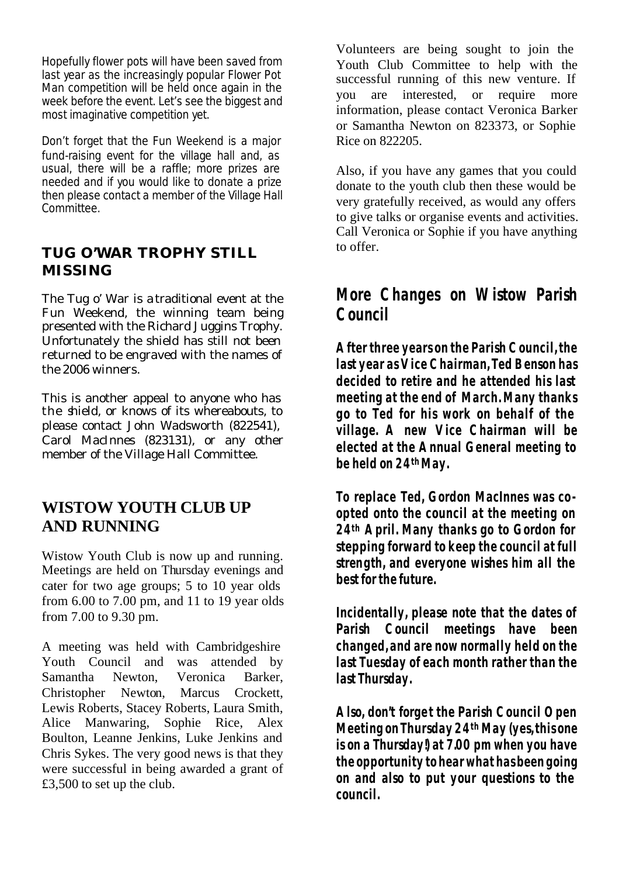Hopefully flower pots will have been saved from last year as the increasingly popular Flower Pot Man competition will be held once again in the week before the event. Let's see the biggest and most imaginative competition yet.

Don't forget that the Fun Weekend is a major fund-raising event for the village hall and, as usual, there will be a raffle; more prizes are needed and if you would like to donate a prize then please contact a member of the Village Hall Committee.

## **TUG O'WAR TROPHY STILL MISSING**

The Tug o' War is a traditional event at the Fun Weekend, the winning team being presented with the Richard Juggins Trophy. Unfortunately the shield has still not been returned to be engraved with the names of the 2006 winners.

This is another appeal to anyone who has the shield, or knows of its whereabouts, to please contact John Wadsworth (822541), Carol MacInnes (823131), or any other member of the Village Hall Committee.

# **WISTOW YOUTH CLUB UP AND RUNNING**

Wistow Youth Club is now up and running. Meetings are held on Thursday evenings and cater for two age groups; 5 to 10 year olds from 6.00 to 7.00 pm, and 11 to 19 year olds from 7.00 to 9.30 pm.

A meeting was held with Cambridgeshire Youth Council and was attended by Samantha Newton, Veronica Barker, Christopher Newton, Marcus Crockett, Lewis Roberts, Stacey Roberts, Laura Smith, Alice Manwaring, Sophie Rice, Alex Boulton, Leanne Jenkins, Luke Jenkins and Chris Sykes. The very good news is that they were successful in being awarded a grant of £3,500 to set up the club.

Volunteers are being sought to join the Youth Club Committee to help with the successful running of this new venture. If you are interested, or require more information, please contact Veronica Barker or Samantha Newton on 823373, or Sophie Rice on 822205.

Also, if you have any games that you could donate to the youth club then these would be very gratefully received, as would any offers to give talks or organise events and activities. Call Veronica or Sophie if you have anything to offer.

# **More Changes on Wistow Parish Council**

**After three years on the Parish Council, the last year as Vice Chairman, Ted Benson has decided to retire and he attended his last meeting at the end of March. Many thanks go to Ted for his work on behalf of the village. A new Vice Chairman will be elected at the Annual General meeting to be held on 24th May.** 

**To replace Ted, Gordon MacInnes was coopted onto the council at the meeting on 24th April. Many thanks go to Gordon for stepping forward to keep the council at full strength, and everyone wishes him all the best for the future.** 

**Incidentally, please note that the dates of Parish Council meetings have been changed, and are now normally held on the last Tuesday of each month rather than the last Thursday.**

**Also, don't forget the Parish Council Open Meeting on Thursday 24th May (yes, this one is on a Thursday!) at 7.00 pm when you have the opportunity to hear what has been going on and also to put your questions to the council.**